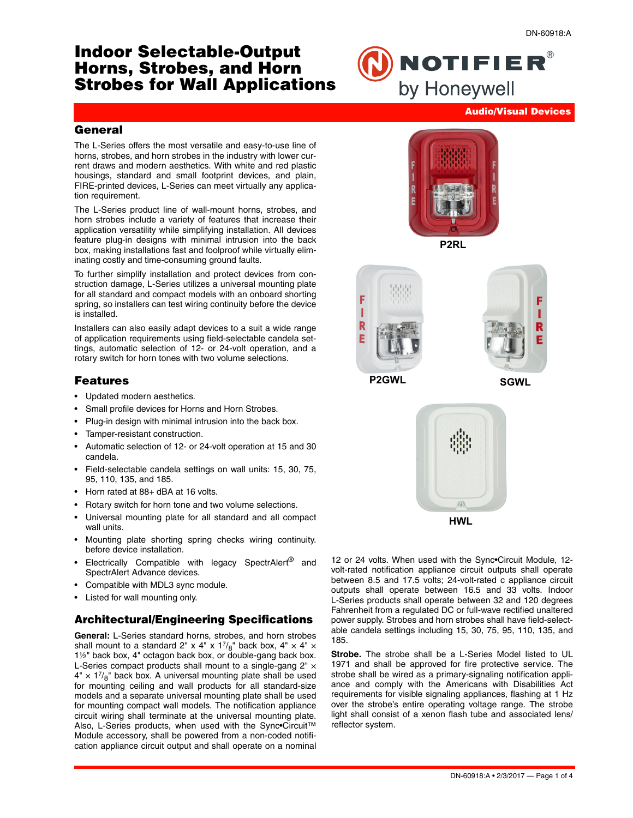# **Indoor Selectable-Output Horns, Strobes, and Horn Strobes for Wall Applications**

**NOTIFIER®** by Honeywell

#### **Audio/Visual Devices**

#### **General**

The L-Series offers the most versatile and easy-to-use line of horns, strobes, and horn strobes in the industry with lower current draws and modern aesthetics. With white and red plastic housings, standard and small footprint devices, and plain, FIRE-printed devices, L-Series can meet virtually any application requirement.

The L-Series product line of wall-mount horns, strobes, and horn strobes include a variety of features that increase their application versatility while simplifying installation. All devices feature plug-in designs with minimal intrusion into the back box, making installations fast and foolproof while virtually eliminating costly and time-consuming ground faults.

To further simplify installation and protect devices from construction damage, L-Series utilizes a universal mounting plate for all standard and compact models with an onboard shorting spring, so installers can test wiring continuity before the device is installed.

Installers can also easily adapt devices to a suit a wide range of application requirements using field-selectable candela settings, automatic selection of 12- or 24-volt operation, and a rotary switch for horn tones with two volume selections.

#### **Features**

- Updated modern aesthetics.
- Small profile devices for Horns and Horn Strobes.
- Plug-in design with minimal intrusion into the back box.
- Tamper-resistant construction.
- Automatic selection of 12- or 24-volt operation at 15 and 30 candela.
- Field-selectable candela settings on wall units: 15, 30, 75, 95, 110, 135, and 185.
- Horn rated at 88+ dBA at 16 volts.
- Rotary switch for horn tone and two volume selections.
- Universal mounting plate for all standard and all compact wall units.
- Mounting plate shorting spring checks wiring continuity. before device installation.
- Electrically Compatible with legacy SpectrAlert<sup>®</sup> and SpectrAlert Advance devices.
- Compatible with MDL3 sync module.
- Listed for wall mounting only.

# **Architectural/Engineering Specifications**

**General:** L-Series standard horns, strobes, and horn strobes shall mount to a standard 2" x 4" x  $1^{7}/8$ " back box, 4" × 4" × 1½" back box, 4" octagon back box, or double-gang back box. L-Series compact products shall mount to a single-gang 2"  $\times$  $4'' \times 1^{7}/8''$  back box. A universal mounting plate shall be used for mounting ceiling and wall products for all standard-size models and a separate universal mounting plate shall be used for mounting compact wall models. The notification appliance circuit wiring shall terminate at the universal mounting plate. Also, L-Series products, when used with the Sync•Circuit™ Module accessory, shall be powered from a non-coded notification appliance circuit output and shall operate on a nominal









**P2GWL SGWL**





12 or 24 volts. When used with the Sync•Circuit Module, 12 volt-rated notification appliance circuit outputs shall operate between 8.5 and 17.5 volts; 24-volt-rated c appliance circuit outputs shall operate between 16.5 and 33 volts. Indoor L-Series products shall operate between 32 and 120 degrees Fahrenheit from a regulated DC or full-wave rectified unaltered power supply. Strobes and horn strobes shall have field-selectable candela settings including 15, 30, 75, 95, 110, 135, and 185.

**Strobe.** The strobe shall be a L-Series Model listed to UL 1971 and shall be approved for fire protective service. The strobe shall be wired as a primary-signaling notification appliance and comply with the Americans with Disabilities Act requirements for visible signaling appliances, flashing at 1 Hz over the strobe's entire operating voltage range. The strobe light shall consist of a xenon flash tube and associated lens/ reflector system.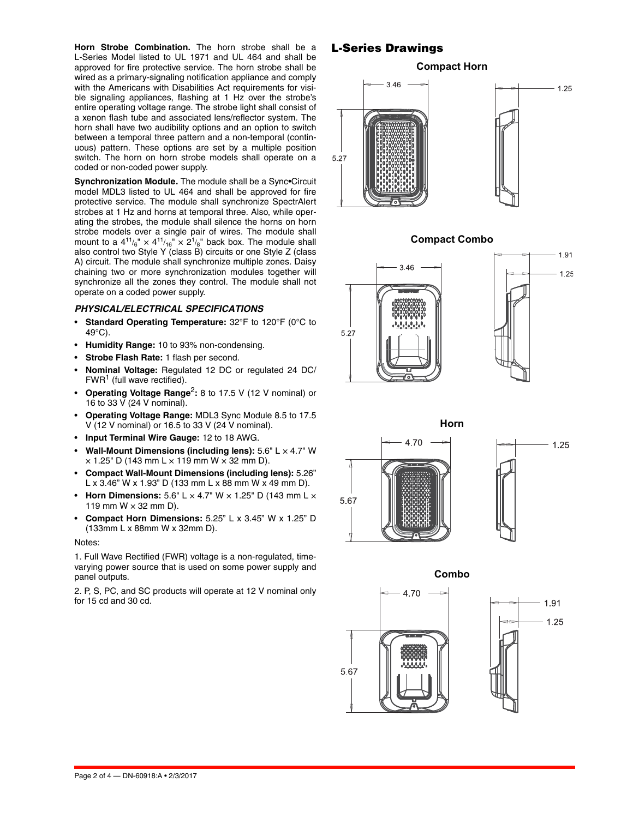**Horn Strobe Combination.** The horn strobe shall be a L-Series Model listed to UL 1971 and UL 464 and shall be approved for fire protective service. The horn strobe shall be wired as a primary-signaling notification appliance and comply with the Americans with Disabilities Act requirements for visible signaling appliances, flashing at 1 Hz over the strobe's entire operating voltage range. The strobe light shall consist of a xenon flash tube and associated lens/reflector system. The horn shall have two audibility options and an option to switch between a temporal three pattern and a non-temporal (continuous) pattern. These options are set by a multiple position switch. The horn on horn strobe models shall operate on a coded or non-coded power supply.

**Synchronization Module.** The module shall be a Sync•Circuit model MDL3 listed to UL 464 and shall be approved for fire protective service. The module shall synchronize SpectrAlert strobes at 1 Hz and horns at temporal three. Also, while operating the strobes, the module shall silence the horns on horn strobe models over a single pair of wires. The module shall mount to a  $4^{11}/_6" \times 4^{11}/_{16}" \times 2^1/_8"$  back box. The module shall also control two Style Y (class B) circuits or one Style Z (class A) circuit. The module shall synchronize multiple zones. Daisy chaining two or more synchronization modules together will synchronize all the zones they control. The module shall not operate on a coded power supply.

#### *PHYSICAL/ELECTRICAL SPECIFICATIONS*

- **Standard Operating Temperature:** 32°F to 120°F (0°C to 49°C).
- **Humidity Range:** 10 to 93% non-condensing.
- **Strobe Flash Rate:** 1 flash per second.
- **Nominal Voltage:** Regulated 12 DC or regulated 24 DC/  $FWR<sup>1</sup>$  (full wave rectified).
- **Operating Voltage Range**2**:** 8 to 17.5 V (12 V nominal) or 16 to 33 V (24 V nominal).
- **Operating Voltage Range:** MDL3 Sync Module 8.5 to 17.5 V (12 V nominal) or 16.5 to 33 V (24 V nominal).
- **Input Terminal Wire Gauge:** 12 to 18 AWG.
- **Wall-Mount Dimensions (including lens):** 5.6" L × 4.7" W  $\times$  1.25" D (143 mm L  $\times$  119 mm W  $\times$  32 mm D).
- **Compact Wall-Mount Dimensions (including lens):** 5.26" L x 3.46" W x 1.93" D (133 mm L x 88 mm W x 49 mm D).
- **Horn Dimensions:** 5.6" L × 4.7" W × 1.25" D (143 mm L × 119 mm  $W \times 32$  mm D).
- **Compact Horn Dimensions:** 5.25" L x 3.45" W x 1.25" D (133mm L x 88mm W x 32mm D).

#### Notes:

1. Full Wave Rectified (FWR) voltage is a non-regulated, timevarying power source that is used on some power supply and panel outputs.

2. P, S, PC, and SC products will operate at 12 V nominal only for 15 cd and 30 cd.

# **L-Series Drawings**

**Compact Horn**















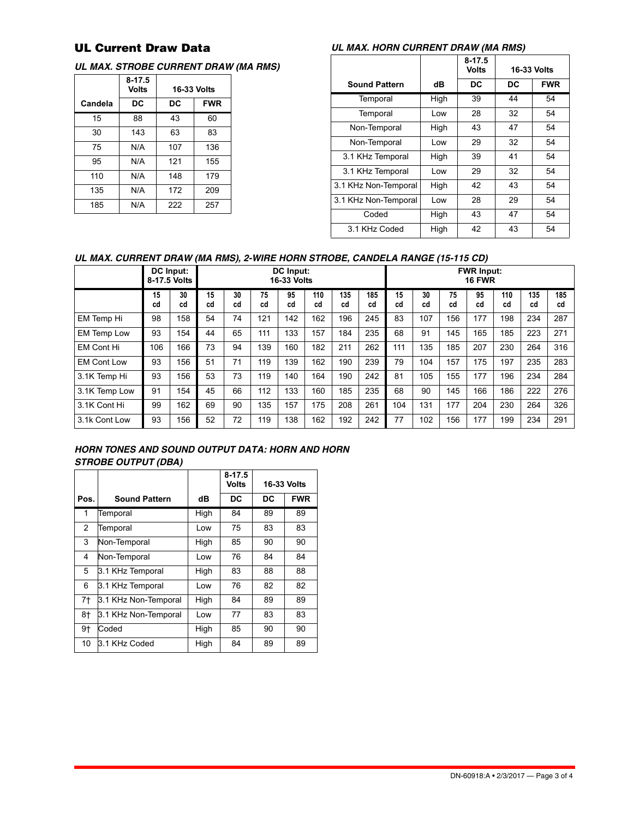# **UL Current Draw Data**

### *UL MAX. STROBE CURRENT DRAW (MA RMS)*

|         | $8-17.5$<br>Volts | <b>16-33 Volts</b> |            |  |  |  |
|---------|-------------------|--------------------|------------|--|--|--|
| Candela | DC                | DC                 | <b>FWR</b> |  |  |  |
| 15      | 88                | 43                 | 60         |  |  |  |
| 30      | 143               | 63                 | 83         |  |  |  |
| 75      | N/A               | 107                | 136        |  |  |  |
| 95      | N/A               | 121                | 155        |  |  |  |
| 110     | N/A               | 148                | 179        |  |  |  |
| 135     | N/A               | 172                | 209        |  |  |  |
| 185     | N/A               | 222                | 257        |  |  |  |

# *UL MAX. HORN CURRENT DRAW (MA RMS)*

|                      |      | $8 - 17.5$<br><b>Volts</b> | <b>16-33 Volts</b> |            |  |
|----------------------|------|----------------------------|--------------------|------------|--|
| <b>Sound Pattern</b> | dB   | DC                         | DC                 | <b>FWR</b> |  |
| Temporal             | High | 39                         | 44                 | 54         |  |
| Temporal             | Low  | 28                         | 32                 | 54         |  |
| Non-Temporal         | High | 43                         | 47                 | 54         |  |
| Non-Temporal         | Low  | 29                         | 32                 | 54         |  |
| 3.1 KHz Temporal     | High | 39                         | 41                 | 54         |  |
| 3.1 KHz Temporal     | Low  | 29                         | 32                 | 54         |  |
| 3.1 KHz Non-Temporal | High | 42                         | 43                 | 54         |  |
| 3.1 KHz Non-Temporal | Low  | 28                         | 29                 | 54         |  |
| Coded                | High | 43                         | 47                 | 54         |  |
| 3.1 KHz Coded        | High | 42                         | 43                 | 54         |  |

### *UL MAX. CURRENT DRAW (MA RMS), 2-WIRE HORN STROBE, CANDELA RANGE (15-115 CD)*

|                    |          | DC Input:<br>8-17.5 Volts | DC Input:<br><b>16-33 Volts</b> |          |          |          |           |           |           | <b>FWR Input:</b><br><b>16 FWR</b> |          |          |          |           |           |           |
|--------------------|----------|---------------------------|---------------------------------|----------|----------|----------|-----------|-----------|-----------|------------------------------------|----------|----------|----------|-----------|-----------|-----------|
|                    | 15<br>cd | 30<br>cd                  | 15<br>cd                        | 30<br>cd | 75<br>cd | 95<br>cd | 110<br>cd | 135<br>cd | 185<br>cd | 15<br>cd                           | 30<br>cd | 75<br>cd | 95<br>cd | 110<br>cd | 135<br>cd | 185<br>cd |
| EM Temp Hi         | 98       | 158                       | 54                              | 74       | 121      | 142      | 162       | 196       | 245       | 83                                 | 107      | 156      | 177      | 198       | 234       | 287       |
| EM Temp Low        | 93       | 154                       | 44                              | 65       | 111      | 133      | 157       | 184       | 235       | 68                                 | 91       | 145      | 165      | 185       | 223       | 271       |
| <b>EM Cont Hi</b>  | 106      | 166                       | 73                              | 94       | 139      | 160      | 182       | 211       | 262       | 111                                | 135      | 185      | 207      | 230       | 264       | 316       |
| <b>EM Cont Low</b> | 93       | 156                       | 51                              | 71       | 119      | 139      | 162       | 190       | 239       | 79                                 | 104      | 157      | 175      | 197       | 235       | 283       |
| 3.1K Temp Hi       | 93       | 156                       | 53                              | 73       | 119      | 140      | 164       | 190       | 242       | 81                                 | 105      | 155      | 177      | 196       | 234       | 284       |
| 3.1K Temp Low      | 91       | 154                       | 45                              | 66       | 112      | 133      | 160       | 185       | 235       | 68                                 | 90       | 145      | 166      | 186       | 222       | 276       |
| 3.1K Cont Hi       | 99       | 162                       | 69                              | 90       | 135      | 157      | 175       | 208       | 261       | 104                                | 131      | 177      | 204      | 230       | 264       | 326       |
| 3.1k Cont Low      | 93       | 156                       | 52                              | 72       | 119      | 138      | 162       | 192       | 242       | 77                                 | 102      | 156      | 177      | 199       | 234       | 291       |

# *HORN TONES AND SOUND OUTPUT DATA: HORN AND HORN STROBE OUTPUT (DBA)*

|      |                      |      | $8 - 17.5$<br>Volts | <b>16-33 Volts</b> |            |  |
|------|----------------------|------|---------------------|--------------------|------------|--|
| Pos. | <b>Sound Pattern</b> | dB   | DC                  | DC                 | <b>FWR</b> |  |
| 1    | Temporal             | High | 84                  | 89                 | 89         |  |
| 2    | Temporal             | Low  | 75                  | 83                 | 83         |  |
| 3    | Non-Temporal         | High | 85                  | 90                 | 90         |  |
| 4    | Non-Temporal         | Low  | 76                  | 84                 | 84         |  |
| 5    | 3.1 KHz Temporal     | High | 83                  | 88                 | 88         |  |
| 6    | 3.1 KHz Temporal     | Low  | 76                  | 82                 | 82         |  |
| $7+$ | 3.1 KHz Non-Temporal | High | 84                  | 89                 | 89         |  |
| 8†   | 3.1 KHz Non-Temporal | Low  | 77                  | 83                 | 83         |  |
| 9†   | Coded                | High | 85                  | 90                 | 90         |  |
| 10   | 3.1 KHz Coded        | High | 84                  | 89                 | 89         |  |